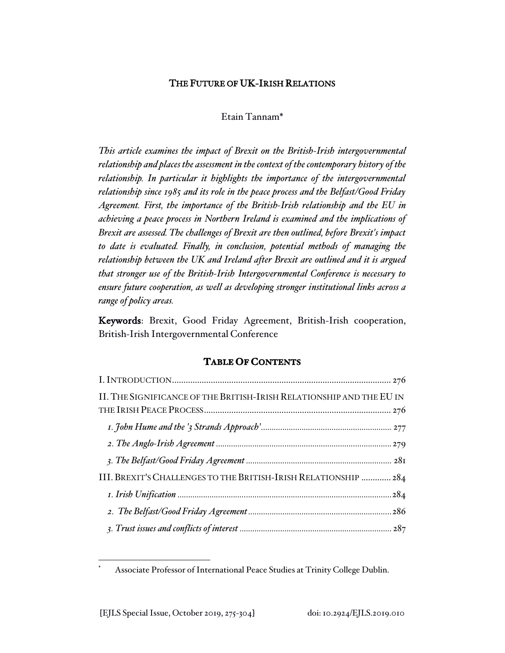# THE FUTURE OF UK-IRISH RELATIONS

# Etain Tannam\*

*This article examines the impact of Brexit on the British-Irish intergovernmental relationship and places the assessment in the context of the contemporary history of the relationship. In particular it highlights the importance of the intergovernmental relationship since 1985 and its role in the peace process and the Belfast/Good Friday Agreement. First, the importance of the British-Irish relationship and the EU in achieving a peace process in Northern Ireland is examined and the implications of Brexit are assessed. The challenges of Brexit are then outlined, before Brexit's impact to date is evaluated. Finally, in conclusion, potential methods of managing the relationship between the UK and Ireland after Brexit are outlined and it is argued that stronger use of the British-Irish Intergovernmental Conference is necessary to ensure future cooperation, as well as developing stronger institutional links across a range of policy areas.* 

Keywords: Brexit, Good Friday Agreement, British-Irish cooperation, British-Irish Intergovernmental Conference

# **TABLE OF CONTENTS**

| II. THE SIGNIFICANCE OF THE BRITISH-IRISH RELATIONSHIP AND THE EU IN |  |
|----------------------------------------------------------------------|--|
|                                                                      |  |
|                                                                      |  |
|                                                                      |  |
|                                                                      |  |
| III. BREXIT'S CHALLENGES TO THE BRITISH-IRISH RELATIONSHIP  284      |  |
|                                                                      |  |
|                                                                      |  |
|                                                                      |  |

Associate Professor of International Peace Studies at Trinity College Dublin.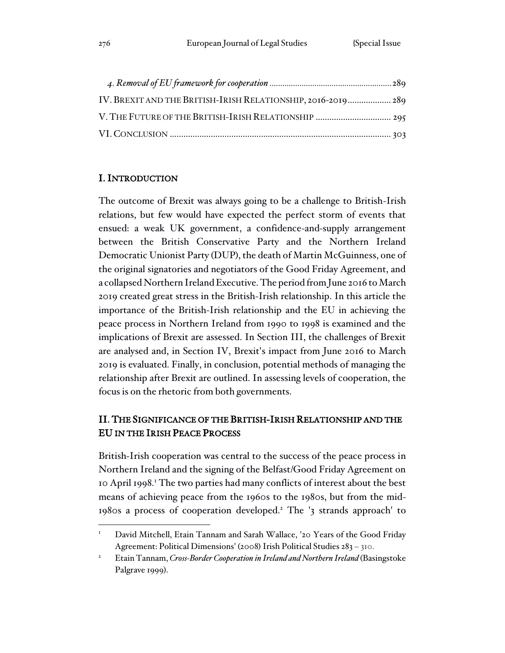| IV. BREXIT AND THE BRITISH-IRISH RELATIONSHIP, 2016-2019 289 |  |
|--------------------------------------------------------------|--|
| V. THE FUTURE OF THE BRITISH-IRISH RELATIONSHIP  295         |  |
|                                                              |  |

# I. INTRODUCTION

The outcome of Brexit was always going to be a challenge to British-Irish relations, but few would have expected the perfect storm of events that ensued: a weak UK government, a confidence-and-supply arrangement between the British Conservative Party and the Northern Ireland Democratic Unionist Party (DUP), the death of Martin McGuinness, one of the original signatories and negotiators of the Good Friday Agreement, and a collapsed Northern Ireland Executive. The period from June 2016 to March 2019 created great stress in the British-Irish relationship. In this article the importance of the British-Irish relationship and the EU in achieving the peace process in Northern Ireland from 1990 to 1998 is examined and the implications of Brexit are assessed. In Section III, the challenges of Brexit are analysed and, in Section IV, Brexit's impact from June 2016 to March 2019 is evaluated. Finally, in conclusion, potential methods of managing the relationship after Brexit are outlined. In assessing levels of cooperation, the focus is on the rhetoric from both governments.

# II. THE SIGNIFICANCE OF THE BRITISH-IRISH RELATIONSHIP AND THE EU IN THE IRISH PEACE PROCESS

British-Irish cooperation was central to the success of the peace process in Northern Ireland and the signing of the Belfast/Good Friday Agreement on 10 April 1998.<sup>1</sup> The two parties had many conflicts of interest about the best means of achieving peace from the 1960s to the 1980s, but from the mid-1980s a process of cooperation developed.<sup>2</sup> The '3 strands approach' to

<sup>1</sup> David Mitchell, Etain Tannam and Sarah Wallace, '20 Years of the Good Friday Agreement: Political Dimensions' (2008) Irish Political Studies 283 – 310.

<sup>2</sup> Etain Tannam, *Cross-Border Cooperation in Ireland and Northern Ireland* (Basingstoke Palgrave 1999).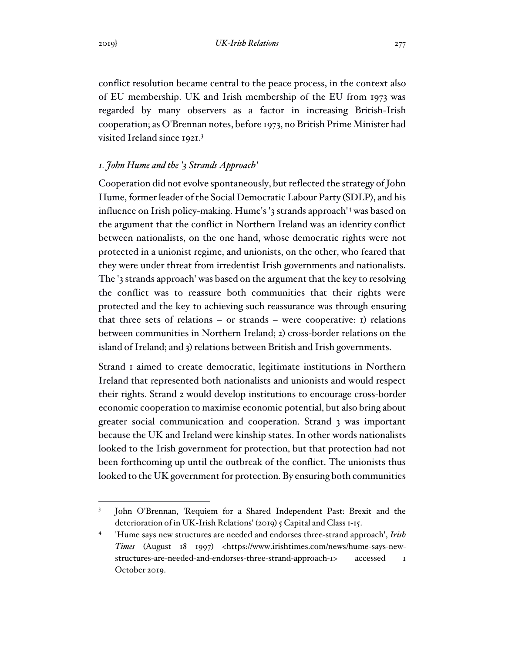conflict resolution became central to the peace process, in the context also of EU membership. UK and Irish membership of the EU from 1973 was regarded by many observers as a factor in increasing British-Irish cooperation; as O'Brennan notes, before 1973, no British Prime Minister had visited Ireland since 1921.<sup>3</sup>

#### *1. John Hume and the '3 Strands Approach'*

Cooperation did not evolve spontaneously, but reflected the strategy of John Hume, former leader of the Social Democratic Labour Party (SDLP), and his influence on Irish policy-making. Hume's '3 strands approach'<sup>4</sup> was based on the argument that the conflict in Northern Ireland was an identity conflict between nationalists, on the one hand, whose democratic rights were not protected in a unionist regime, and unionists, on the other, who feared that they were under threat from irredentist Irish governments and nationalists. The '3 strands approach' was based on the argument that the key to resolving the conflict was to reassure both communities that their rights were protected and the key to achieving such reassurance was through ensuring that three sets of relations – or strands – were cooperative: 1) relations between communities in Northern Ireland; 2) cross-border relations on the island of Ireland; and 3) relations between British and Irish governments.

Strand 1 aimed to create democratic, legitimate institutions in Northern Ireland that represented both nationalists and unionists and would respect their rights. Strand 2 would develop institutions to encourage cross-border economic cooperation to maximise economic potential, but also bring about greater social communication and cooperation. Strand 3 was important because the UK and Ireland were kinship states. In other words nationalists looked to the Irish government for protection, but that protection had not been forthcoming up until the outbreak of the conflict. The unionists thus looked to the UK government for protection. By ensuring both communities

<sup>3</sup> John O'Brennan, 'Requiem for a Shared Independent Past: Brexit and the deterioration of in UK-Irish Relations' (2019) 5 Capital and Class 1-15.

<sup>4</sup> 'Hume says new structures are needed and endorses three-strand approach', *Irish Times* (August 18 1997) <https://www.irishtimes.com/news/hume-says-newstructures-are-needed-and-endorses-three-strand-approach-1> accessed 1 October 2019.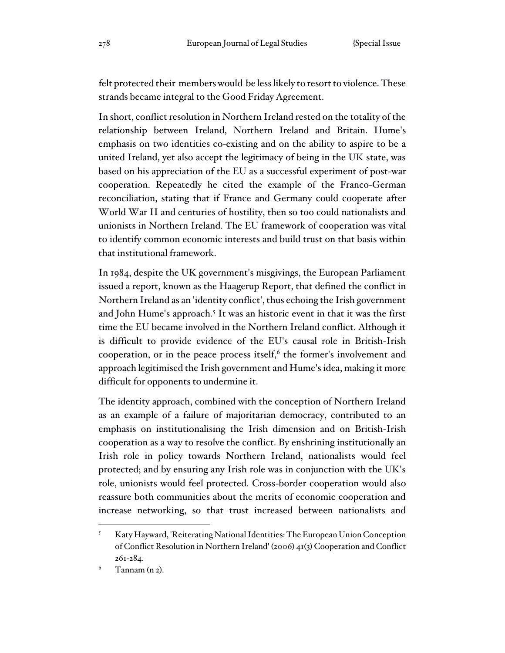felt protected their members would be less likely to resort to violence. These strands became integral to the Good Friday Agreement.

In short, conflict resolution in Northern Ireland rested on the totality of the relationship between Ireland, Northern Ireland and Britain. Hume's emphasis on two identities co-existing and on the ability to aspire to be a united Ireland, yet also accept the legitimacy of being in the UK state, was based on his appreciation of the EU as a successful experiment of post-war cooperation. Repeatedly he cited the example of the Franco-German reconciliation, stating that if France and Germany could cooperate after World War II and centuries of hostility, then so too could nationalists and unionists in Northern Ireland. The EU framework of cooperation was vital to identify common economic interests and build trust on that basis within that institutional framework.

In 1984, despite the UK government's misgivings, the European Parliament issued a report, known as the Haagerup Report, that defined the conflict in Northern Ireland as an 'identity conflict', thus echoing the Irish government and John Hume's approach.<sup>5</sup> It was an historic event in that it was the first time the EU became involved in the Northern Ireland conflict. Although it is difficult to provide evidence of the EU's causal role in British-Irish cooperation, or in the peace process itself, $6$  the former's involvement and approach legitimised the Irish government and Hume's idea, making it more difficult for opponents to undermine it.

The identity approach, combined with the conception of Northern Ireland as an example of a failure of majoritarian democracy, contributed to an emphasis on institutionalising the Irish dimension and on British-Irish cooperation as a way to resolve the conflict. By enshrining institutionally an Irish role in policy towards Northern Ireland, nationalists would feel protected; and by ensuring any Irish role was in conjunction with the UK's role, unionists would feel protected. Cross-border cooperation would also reassure both communities about the merits of economic cooperation and increase networking, so that trust increased between nationalists and

<sup>5</sup> Katy Hayward, 'Reiterating National Identities: The European Union Conception of Conflict Resolution in Northern Ireland' (2006) 41(3) Cooperation and Conflict 261-284.

 $^6$  Tannam (n 2).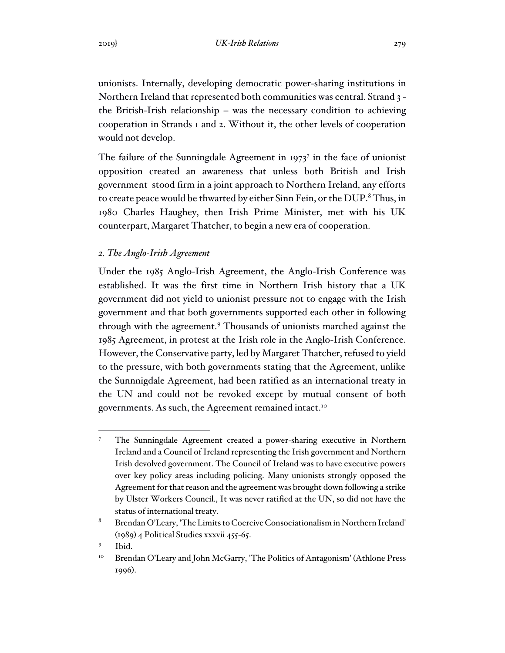unionists. Internally, developing democratic power-sharing institutions in Northern Ireland that represented both communities was central. Strand 3 the British-Irish relationship – was the necessary condition to achieving cooperation in Strands 1 and 2. Without it, the other levels of cooperation would not develop.

The failure of the Sunningdale Agreement in  $1973^7$  in the face of unionist opposition created an awareness that unless both British and Irish government stood firm in a joint approach to Northern Ireland, any efforts to create peace would be thwarted by either Sinn Fein, or the DUP. $8$  Thus, in 1980 Charles Haughey, then Irish Prime Minister, met with his UK counterpart, Margaret Thatcher, to begin a new era of cooperation.

#### *2. The Anglo-Irish Agreement*

Under the 1985 Anglo-Irish Agreement, the Anglo-Irish Conference was established. It was the first time in Northern Irish history that a UK government did not yield to unionist pressure not to engage with the Irish government and that both governments supported each other in following through with the agreement.<sup>9</sup> Thousands of unionists marched against the 1985 Agreement, in protest at the Irish role in the Anglo-Irish Conference. However, the Conservative party, led by Margaret Thatcher, refused to yield to the pressure, with both governments stating that the Agreement, unlike the Sunnnigdale Agreement, had been ratified as an international treaty in the UN and could not be revoked except by mutual consent of both governments. As such, the Agreement remained intact.<sup>10</sup>

<sup>7</sup> The Sunningdale Agreement created a power-sharing executive in Northern Ireland and a Council of Ireland representing the Irish government and Northern Irish devolved government. The Council of Ireland was to have executive powers over key policy areas including policing. Many unionists strongly opposed the Agreement for that reason and the agreement was brought down following a strike by Ulster Workers Council., It was never ratified at the UN, so did not have the status of international treaty.

<sup>8</sup> Brendan O'Leary, 'The Limits to Coercive Consociationalism in Northern Ireland' (1989) 4 Political Studies xxxvii 455-65.

<sup>9</sup> Ibid.

<sup>10</sup> Brendan O'Leary and John McGarry, 'The Politics of Antagonism' (Athlone Press 1996).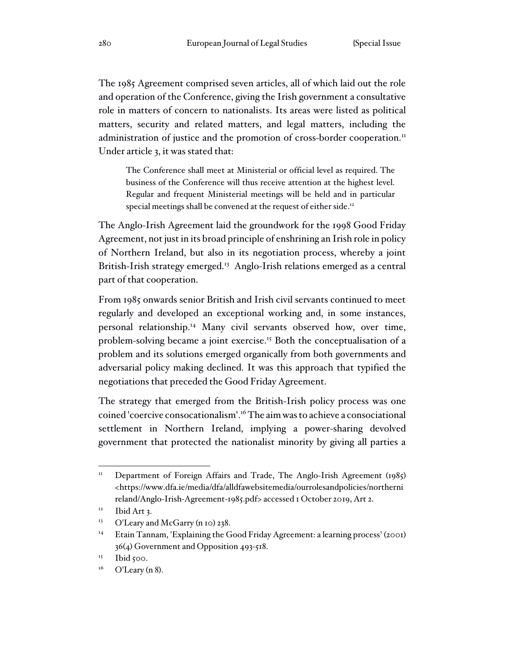The 1985 Agreement comprised seven articles, all of which laid out the role and operation of the Conference, giving the Irish government a consultative role in matters of concern to nationalists. Its areas were listed as political matters, security and related matters, and legal matters, including the administration of justice and the promotion of cross-border cooperation.<sup>11</sup> Under article 3, it was stated that:

The Conference shall meet at Ministerial or official level as required. The business of the Conference will thus receive attention at the highest level. Regular and frequent Ministerial meetings will be held and in particular special meetings shall be convened at the request of either side.<sup>12</sup>

The Anglo-Irish Agreement laid the groundwork for the 1998 Good Friday Agreement, not just in its broad principle of enshrining an Irish role in policy of Northern Ireland, but also in its negotiation process, whereby a joint British-Irish strategy emerged.<sup>13</sup> Anglo-Irish relations emerged as a central part of that cooperation.

From 1985 onwards senior British and Irish civil servants continued to meet regularly and developed an exceptional working and, in some instances, personal relationship.<sup>14</sup> Many civil servants observed how, over time, problem-solving became a joint exercise.<sup>15</sup> Both the conceptualisation of a problem and its solutions emerged organically from both governments and adversarial policy making declined. It was this approach that typified the negotiations that preceded the Good Friday Agreement.

The strategy that emerged from the British-Irish policy process was one coined 'coercive consocationalism'.<sup>16</sup> The aim was to achieve a consociational settlement in Northern Ireland, implying a power-sharing devolved government that protected the nationalist minority by giving all parties a

<sup>&</sup>lt;sup>11</sup> Department of Foreign Affairs and Trade, The Anglo-Irish Agreement (1985) <https://www.dfa.ie/media/dfa/alldfawebsitemedia/ourrolesandpolicies/northerni reland/Anglo-Irish-Agreement-1985.pdf> accessed 1 October 2019, Art 2.

 $12$  Ibid Art 3.

<sup>&</sup>lt;sup>13</sup> O'Leary and McGarry (n 10) 238.

<sup>&</sup>lt;sup>14</sup> Etain Tannam, 'Explaining the Good Friday Agreement: a learning process' (2001) 36(4) Government and Opposition 493-518.

 $15$  Ibid 500.

 $^{16}$  O'Leary (n 8).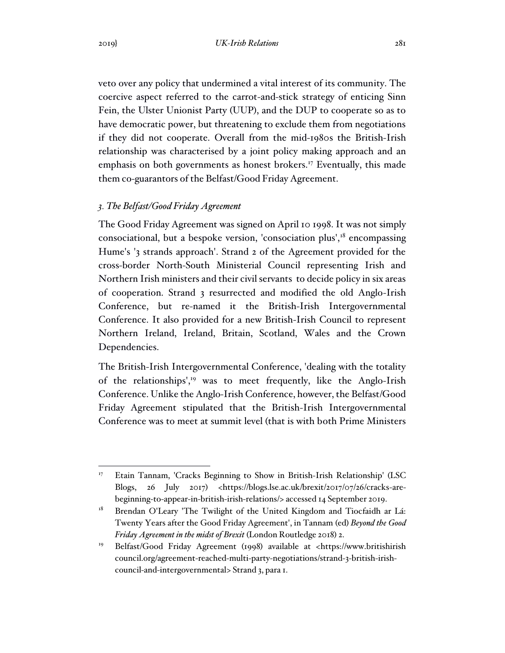veto over any policy that undermined a vital interest of its community. The coercive aspect referred to the carrot-and-stick strategy of enticing Sinn Fein, the Ulster Unionist Party (UUP), and the DUP to cooperate so as to have democratic power, but threatening to exclude them from negotiations if they did not cooperate. Overall from the mid-1980s the British-Irish relationship was characterised by a joint policy making approach and an emphasis on both governments as honest brokers.<sup>17</sup> Eventually, this made them co-guarantors of the Belfast/Good Friday Agreement.

# *3. The Belfast/Good Friday Agreement*

The Good Friday Agreement was signed on April 10 1998. It was not simply consociational, but a bespoke version, 'consociation plus', $18$  encompassing Hume's '3 strands approach'. Strand 2 of the Agreement provided for the cross-border North-South Ministerial Council representing Irish and Northern Irish ministers and their civil servants to decide policy in six areas of cooperation. Strand 3 resurrected and modified the old Anglo-Irish Conference, but re-named it the British-Irish Intergovernmental Conference. It also provided for a new British-Irish Council to represent Northern Ireland, Ireland, Britain, Scotland, Wales and the Crown Dependencies.

The British-Irish Intergovernmental Conference, 'dealing with the totality of the relationships',<sup>19</sup> was to meet frequently, like the Anglo-Irish Conference. Unlike the Anglo-Irish Conference, however, the Belfast/Good Friday Agreement stipulated that the British-Irish Intergovernmental Conference was to meet at summit level (that is with both Prime Ministers

<sup>&</sup>lt;sup>17</sup> Etain Tannam, 'Cracks Beginning to Show in British-Irish Relationship' (LSC Blogs, 26 July 2017) <https://blogs.lse.ac.uk/brexit/2017/07/26/cracks-arebeginning-to-appear-in-british-irish-relations/> accessed 14 September 2019.

<sup>&</sup>lt;sup>18</sup> Brendan O'Leary 'The Twilight of the United Kingdom and Tiocfaidh ar Lá: Twenty Years after the Good Friday Agreement', in Tannam (ed) *Beyond the Good Friday Agreement in the midst of Brexit* (London Routledge 2018) 2.

<sup>19</sup> Belfast/Good Friday Agreement (1998) available at <https://www.britishirish council.org/agreement-reached-multi-party-negotiations/strand-3-british-irishcouncil-and-intergovernmental> Strand 3, para 1.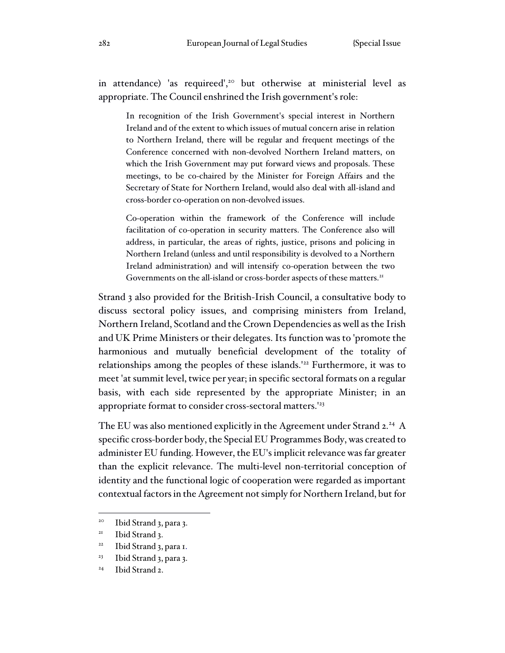in attendance) 'as requireed',<sup>20</sup> but otherwise at ministerial level as appropriate. The Council enshrined the Irish government's role:

In recognition of the Irish Government's special interest in Northern Ireland and of the extent to which issues of mutual concern arise in relation to Northern Ireland, there will be regular and frequent meetings of the Conference concerned with non-devolved Northern Ireland matters, on which the Irish Government may put forward views and proposals. These meetings, to be co-chaired by the Minister for Foreign Affairs and the Secretary of State for Northern Ireland, would also deal with all-island and cross-border co-operation on non-devolved issues.

Co-operation within the framework of the Conference will include facilitation of co-operation in security matters. The Conference also will address, in particular, the areas of rights, justice, prisons and policing in Northern Ireland (unless and until responsibility is devolved to a Northern Ireland administration) and will intensify co-operation between the two Governments on the all-island or cross-border aspects of these matters.<sup>21</sup>

Strand 3 also provided for the British-Irish Council, a consultative body to discuss sectoral policy issues, and comprising ministers from Ireland, Northern Ireland, Scotland and the Crown Dependencies as well as the Irish and UK Prime Ministers or their delegates. Its function was to 'promote the harmonious and mutually beneficial development of the totality of relationships among the peoples of these islands.<sup>'22</sup> Furthermore, it was to meet 'at summit level, twice per year; in specific sectoral formats on a regular basis, with each side represented by the appropriate Minister; in an appropriate format to consider cross-sectoral matters.'<sup>23</sup>

The EU was also mentioned explicitly in the Agreement under Strand 2.<sup>24</sup> A specific cross-border body, the Special EU Programmes Body, was created to administer EU funding. However, the EU's implicit relevance was far greater than the explicit relevance. The multi-level non-territorial conception of identity and the functional logic of cooperation were regarded as important contextual factors in the Agreement not simply for Northern Ireland, but for

<sup>&</sup>lt;sup>20</sup> Ibid Strand 3, para 3.

<sup>&</sup>lt;sup>21</sup> Ibid Strand 3.

<sup>&</sup>lt;sup>22</sup> Ibid Strand 3, para 1.

<sup>&</sup>lt;sup>23</sup> Ibid Strand 3, para 3.

<sup>&</sup>lt;sup>24</sup> Ibid Strand 2.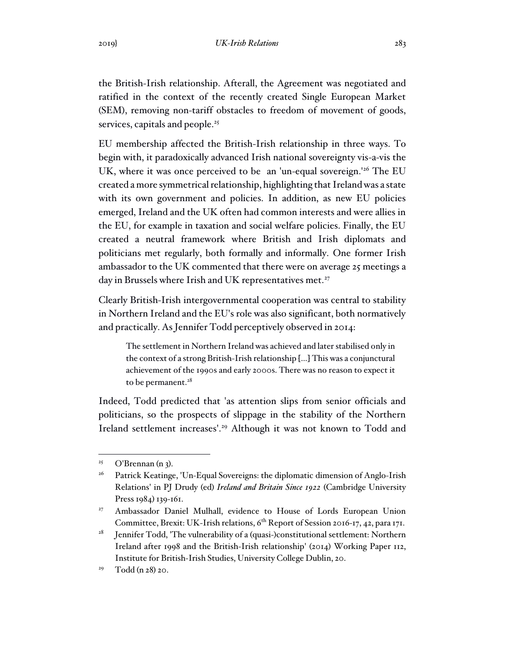the British-Irish relationship. Afterall, the Agreement was negotiated and ratified in the context of the recently created Single European Market (SEM), removing non-tariff obstacles to freedom of movement of goods, services, capitals and people.<sup>25</sup>

EU membership affected the British-Irish relationship in three ways. To begin with, it paradoxically advanced Irish national sovereignty vis-a-vis the UK, where it was once perceived to be an 'un-equal sovereign.<sup>'26</sup> The EU created a more symmetrical relationship, highlighting that Ireland was a state with its own government and policies. In addition, as new EU policies emerged, Ireland and the UK often had common interests and were allies in the EU, for example in taxation and social welfare policies. Finally, the EU created a neutral framework where British and Irish diplomats and politicians met regularly, both formally and informally. One former Irish ambassador to the UK commented that there were on average 25 meetings a day in Brussels where Irish and UK representatives met.<sup>27</sup>

Clearly British-Irish intergovernmental cooperation was central to stability in Northern Ireland and the EU's role was also significant, both normatively and practically. As Jennifer Todd perceptively observed in 2014:

The settlement in Northern Ireland was achieved and later stabilised only in the context of a strong British-Irish relationship […] This was a conjunctural achievement of the 1990s and early 2000s. There was no reason to expect it to be permanent.<sup>28</sup>

Indeed, Todd predicted that 'as attention slips from senior officials and politicians, so the prospects of slippage in the stability of the Northern Ireland settlement increases'.<sup>29</sup> Although it was not known to Todd and

<sup>&</sup>lt;sup>25</sup> O'Brennan  $(n_3)$ .

<sup>&</sup>lt;sup>26</sup> Patrick Keatinge, 'Un-Equal Sovereigns: the diplomatic dimension of Anglo-Irish Relations' in PJ Drudy (ed) *Ireland and Britain Since 1922* (Cambridge University Press 1984) 139-161.

<sup>&</sup>lt;sup>27</sup> Ambassador Daniel Mulhall, evidence to House of Lords European Union Committee, Brexit: UK-Irish relations,  $6<sup>th</sup>$  Report of Session 2016-17, 42, para 171.

<sup>&</sup>lt;sup>28</sup> Jennifer Todd, 'The vulnerability of a (quasi-)constitutional settlement: Northern Ireland after 1998 and the British-Irish relationship' (2014) Working Paper 112, Institute for British-Irish Studies, University College Dublin, 20.

 $29$  Todd (n 28) 20.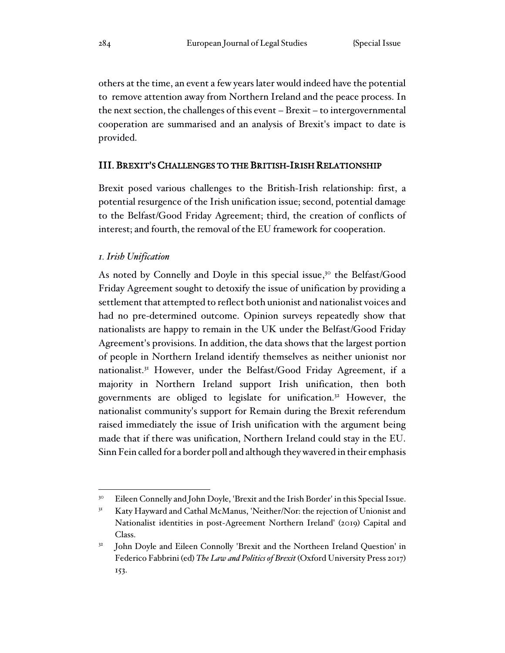others at the time, an event a few years later would indeed have the potential to remove attention away from Northern Ireland and the peace process. In the next section, the challenges of this event – Brexit – to intergovernmental cooperation are summarised and an analysis of Brexit's impact to date is provided.

#### III. BREXIT'S CHALLENGES TO THE BRITISH-IRISH RELATIONSHIP

Brexit posed various challenges to the British-Irish relationship: first, a potential resurgence of the Irish unification issue; second, potential damage to the Belfast/Good Friday Agreement; third, the creation of conflicts of interest; and fourth, the removal of the EU framework for cooperation.

#### *1. Irish Unification*

As noted by Connelly and Doyle in this special issue, <sup>30</sup> the Belfast/Good Friday Agreement sought to detoxify the issue of unification by providing a settlement that attempted to reflect both unionist and nationalist voices and had no pre-determined outcome. Opinion surveys repeatedly show that nationalists are happy to remain in the UK under the Belfast/Good Friday Agreement's provisions. In addition, the data shows that the largest portion of people in Northern Ireland identify themselves as neither unionist nor nationalist.<sup>31</sup> However, under the Belfast/Good Friday Agreement, if a majority in Northern Ireland support Irish unification, then both governments are obliged to legislate for unification.<sup>32</sup> However, the nationalist community's support for Remain during the Brexit referendum raised immediately the issue of Irish unification with the argument being made that if there was unification, Northern Ireland could stay in the EU. Sinn Fein called for a border poll and although they wavered in their emphasis

<sup>&</sup>lt;sup>30</sup> Eileen Connelly and John Doyle, 'Brexit and the Irish Border' in this Special Issue.

<sup>&</sup>lt;sup>31</sup> Katy Hayward and Cathal McManus, 'Neither/Nor: the rejection of Unionist and Nationalist identities in post-Agreement Northern Ireland' (2019) Capital and Class.

<sup>&</sup>lt;sup>32</sup> John Doyle and Eileen Connolly 'Brexit and the Northeen Ireland Question' in Federico Fabbrini (ed) *The Law and Politics of Brexit* (Oxford University Press 2017) 153.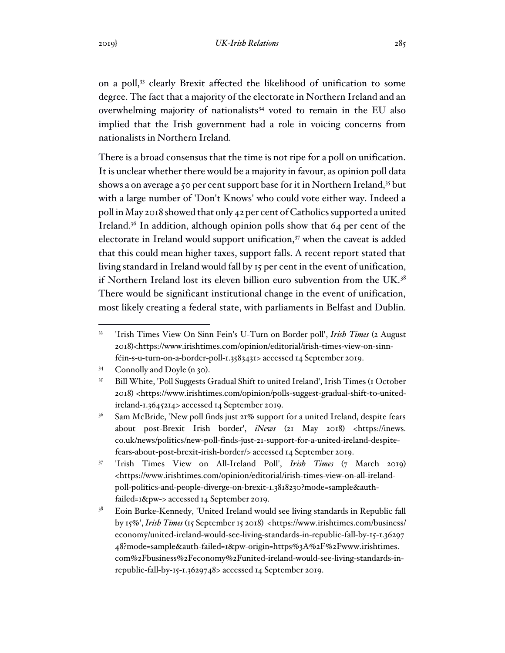on a poll,<sup>33</sup> clearly Brexit affected the likelihood of unification to some degree. The fact that a majority of the electorate in Northern Ireland and an overwhelming majority of nationalists<sup>34</sup> voted to remain in the EU also implied that the Irish government had a role in voicing concerns from nationalists in Northern Ireland.

There is a broad consensus that the time is not ripe for a poll on unification. It is unclear whether there would be a majority in favour, as opinion poll data shows a on average a 50 per cent support base for it in Northern Ireland,<sup>35</sup> but with a large number of 'Don't Knows' who could vote either way. Indeed a poll in May 2018 showed that only 42 per cent of Catholics supported a united Ireland.<sup>36</sup> In addition, although opinion polls show that 64 per cent of the electorate in Ireland would support unification, $37$  when the caveat is added that this could mean higher taxes, support falls. A recent report stated that living standard in Ireland would fall by 15 per cent in the event of unification, if Northern Ireland lost its eleven billion euro subvention from the UK.<sup>38</sup> There would be significant institutional change in the event of unification, most likely creating a federal state, with parliaments in Belfast and Dublin.

<sup>34</sup> Connolly and Doyle (n 30).

<sup>33</sup> 'Irish Times View On Sinn Fein's U-Turn on Border poll', *Irish Times* (2 August 2018)<https://www.irishtimes.com/opinion/editorial/irish-times-view-on-sinnféin-s-u-turn-on-a-border-poll-1.3583431> accessed 14 September 2019.

<sup>35</sup> Bill White, 'Poll Suggests Gradual Shift to united Ireland', Irish Times (1 October 2018) <https://www.irishtimes.com/opinion/polls-suggest-gradual-shift-to-unitedireland-1.3645214> accessed 14 September 2019.

 $36$  Sam McBride, 'New poll finds just 21% support for a united Ireland, despite fears about post-Brexit Irish border', *iNews* (21 May 2018) <https://inews. co.uk/news/politics/new-poll-finds-just-21-support-for-a-united-ireland-despitefears-about-post-brexit-irish-border/> accessed 14 September 2019.

<sup>37</sup> 'Irish Times View on All-Ireland Poll', *Irish Times* (7 March 2019) <https://www.irishtimes.com/opinion/editorial/irish-times-view-on-all-irelandpoll-politics-and-people-diverge-on-brexit-1.3818230?mode=sample&authfailed=1&pw-> accessed 14 September 2019.

<sup>&</sup>lt;sup>38</sup> Eoin Burke-Kennedy, 'United Ireland would see living standards in Republic fall by 15%', *Irish Times* (15 September 15 2018) <https://www.irishtimes.com/business/ economy/united-ireland-would-see-living-standards-in-republic-fall-by-15-1.36297 48?mode=sample&auth-failed=1&pw-origin=https%3A%2F%2Fwww.irishtimes. com%2Fbusiness%2Feconomy%2Funited-ireland-would-see-living-standards-inrepublic-fall-by-15-1.3629748> accessed 14 September 2019.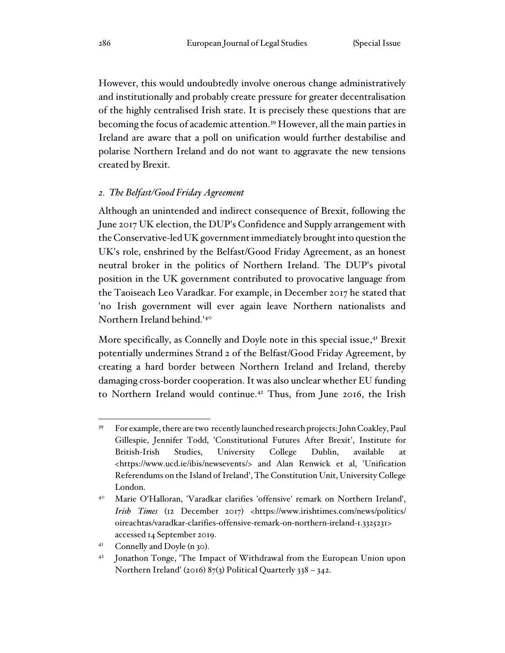However, this would undoubtedly involve onerous change administratively and institutionally and probably create pressure for greater decentralisation of the highly centralised Irish state. It is precisely these questions that are becoming the focus of academic attention.<sup>39</sup> However, all the main parties in Ireland are aware that a poll on unification would further destabilise and polarise Northern Ireland and do not want to aggravate the new tensions created by Brexit.

#### *2. The Belfast/Good Friday Agreement*

Although an unintended and indirect consequence of Brexit, following the June 2017 UK election, the DUP's Confidence and Supply arrangement with the Conservative-led UK government immediately brought into question the UK's role, enshrined by the Belfast/Good Friday Agreement, as an honest neutral broker in the politics of Northern Ireland. The DUP's pivotal position in the UK government contributed to provocative language from the Taoiseach Leo Varadkar. For example, in December 2017 he stated that 'no Irish government will ever again leave Northern nationalists and Northern Ireland behind.'<sup>40</sup>

More specifically, as Connelly and Doyle note in this special issue, <sup>41</sup> Brexit potentially undermines Strand 2 of the Belfast/Good Friday Agreement, by creating a hard border between Northern Ireland and Ireland, thereby damaging cross-border cooperation. It was also unclear whether EU funding to Northern Ireland would continue.<sup>42</sup> Thus, from June 2016, the Irish

<sup>39</sup> For example, there are two recently launched research projects: John Coakley, Paul Gillespie, Jennifer Todd, 'Constitutional Futures After Brexit', Institute for British-Irish Studies, University College Dublin, available at <https://www.ucd.ie/ibis/newsevents/> and Alan Renwick et al, 'Unification Referendums on the Island of Ireland', The Constitution Unit, University College London.

<sup>40</sup> Marie O'Halloran, 'Varadkar clarifies 'offensive' remark on Northern Ireland', *Irish Times* (12 December 2017) <https://www.irishtimes.com/news/politics/ oireachtas/varadkar-clarifies-offensive-remark-on-northern-ireland-1.3325231> accessed 14 September 2019.

<sup>41</sup> Connelly and Doyle (n 30).

<sup>&</sup>lt;sup>42</sup> Jonathon Tonge, 'The Impact of Withdrawal from the European Union upon Northern Ireland' (2016) 87(3) Political Quarterly 338 – 342.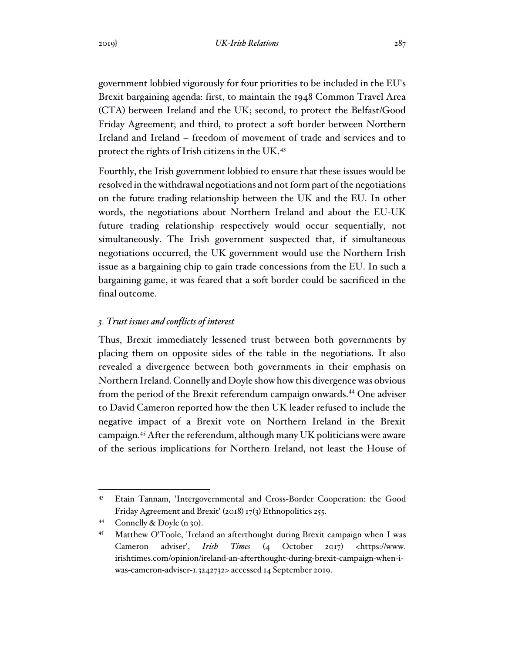government lobbied vigorously for four priorities to be included in the EU's Brexit bargaining agenda: first, to maintain the 1948 Common Travel Area (CTA) between Ireland and the UK; second, to protect the Belfast/Good Friday Agreement; and third, to protect a soft border between Northern Ireland and Ireland – freedom of movement of trade and services and to protect the rights of Irish citizens in the UK.<sup>43</sup>

Fourthly, the Irish government lobbied to ensure that these issues would be resolved in the withdrawal negotiations and not form part of the negotiations on the future trading relationship between the UK and the EU. In other words, the negotiations about Northern Ireland and about the EU-UK future trading relationship respectively would occur sequentially, not simultaneously. The Irish government suspected that, if simultaneous negotiations occurred, the UK government would use the Northern Irish issue as a bargaining chip to gain trade concessions from the EU. In such a bargaining game, it was feared that a soft border could be sacrificed in the final outcome.

#### *3. Trust issues and conflicts of interest*

Thus, Brexit immediately lessened trust between both governments by placing them on opposite sides of the table in the negotiations. It also revealed a divergence between both governments in their emphasis on Northern Ireland. Connelly and Doyle show how this divergence was obvious from the period of the Brexit referendum campaign onwards.<sup>44</sup> One adviser to David Cameron reported how the then UK leader refused to include the negative impact of a Brexit vote on Northern Ireland in the Brexit campaign.<sup>45</sup> After the referendum, although many UK politicians were aware of the serious implications for Northern Ireland, not least the House of

<sup>43</sup> Etain Tannam, 'Intergovernmental and Cross-Border Cooperation: the Good Friday Agreement and Brexit' (2018) 17(3) Ethnopolitics 255.

<sup>44</sup> Connelly & Doyle (n 30).

<sup>45</sup> Matthew O'Toole, 'Ireland an afterthought during Brexit campaign when I was Cameron adviser', *Irish Times* (4 October 2017) <https://www. irishtimes.com/opinion/ireland-an-afterthought-during-brexit-campaign-when-iwas-cameron-adviser-1.3242732> accessed 14 September 2019.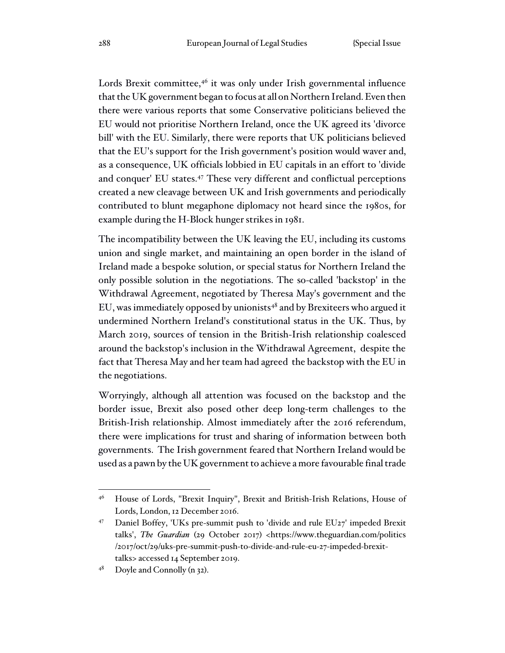Lords Brexit committee,<sup>46</sup> it was only under Irish governmental influence that the UK government began to focus at all on Northern Ireland. Even then there were various reports that some Conservative politicians believed the EU would not prioritise Northern Ireland, once the UK agreed its 'divorce bill' with the EU. Similarly, there were reports that UK politicians believed that the EU's support for the Irish government's position would waver and, as a consequence, UK officials lobbied in EU capitals in an effort to 'divide and conquer' EU states.<sup>47</sup> These very different and conflictual perceptions created a new cleavage between UK and Irish governments and periodically contributed to blunt megaphone diplomacy not heard since the 1980s, for example during the H-Block hunger strikes in 1981.

The incompatibility between the UK leaving the EU, including its customs union and single market, and maintaining an open border in the island of Ireland made a bespoke solution, or special status for Northern Ireland the only possible solution in the negotiations. The so-called 'backstop' in the Withdrawal Agreement, negotiated by Theresa May's government and the EU, was immediately opposed by unionists<sup>48</sup> and by Brexiteers who argued it undermined Northern Ireland's constitutional status in the UK. Thus, by March 2019, sources of tension in the British-Irish relationship coalesced around the backstop's inclusion in the Withdrawal Agreement, despite the fact that Theresa May and her team had agreed the backstop with the EU in the negotiations.

Worryingly, although all attention was focused on the backstop and the border issue, Brexit also posed other deep long-term challenges to the British-Irish relationship. Almost immediately after the 2016 referendum, there were implications for trust and sharing of information between both governments. The Irish government feared that Northern Ireland would be used as a pawn by the UK government to achieve a more favourable final trade

<sup>46</sup> House of Lords, "Brexit Inquiry", Brexit and British-Irish Relations, House of Lords, London, 12 December 2016.

<sup>47</sup> Daniel Boffey, 'UKs pre-summit push to 'divide and rule EU27' impeded Brexit talks', *The Guardian* (29 October 2017) <https://www.theguardian.com/politics /2017/oct/29/uks-pre-summit-push-to-divide-and-rule-eu-27-impeded-brexittalks> accessed 14 September 2019.

 $4^8$  Doyle and Connolly (n 32).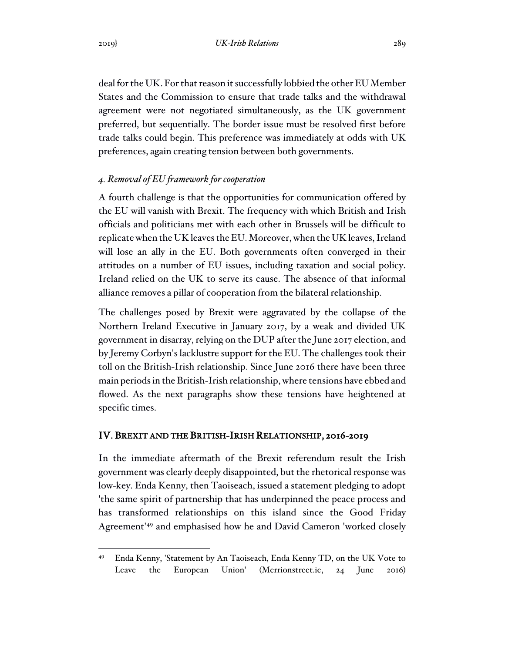deal for the UK. For that reason it successfully lobbied the other EU Member States and the Commission to ensure that trade talks and the withdrawal agreement were not negotiated simultaneously, as the UK government preferred, but sequentially. The border issue must be resolved first before trade talks could begin. This preference was immediately at odds with UK preferences, again creating tension between both governments.

#### *4. Removal of EU framework for cooperation*

A fourth challenge is that the opportunities for communication offered by the EU will vanish with Brexit. The frequency with which British and Irish officials and politicians met with each other in Brussels will be difficult to replicate when the UK leaves the EU. Moreover, when the UK leaves, Ireland will lose an ally in the EU. Both governments often converged in their attitudes on a number of EU issues, including taxation and social policy. Ireland relied on the UK to serve its cause. The absence of that informal alliance removes a pillar of cooperation from the bilateral relationship.

The challenges posed by Brexit were aggravated by the collapse of the Northern Ireland Executive in January 2017, by a weak and divided UK government in disarray, relying on the DUP after the June 2017 election, and by Jeremy Corbyn's lacklustre support for the EU. The challenges took their toll on the British-Irish relationship. Since June 2016 there have been three main periods in the British-Irish relationship, where tensions have ebbed and flowed. As the next paragraphs show these tensions have heightened at specific times.

#### IV. BREXIT AND THE BRITISH-IRISH RELATIONSHIP, 2016-2019

In the immediate aftermath of the Brexit referendum result the Irish government was clearly deeply disappointed, but the rhetorical response was low-key. Enda Kenny, then Taoiseach, issued a statement pledging to adopt 'the same spirit of partnership that has underpinned the peace process and has transformed relationships on this island since the Good Friday Agreement'<sup>49</sup> and emphasised how he and David Cameron 'worked closely

<sup>49</sup> Enda Kenny, 'Statement by An Taoiseach, Enda Kenny TD, on the UK Vote to Leave the European Union' (Merrionstreet.ie, 24 June 2016)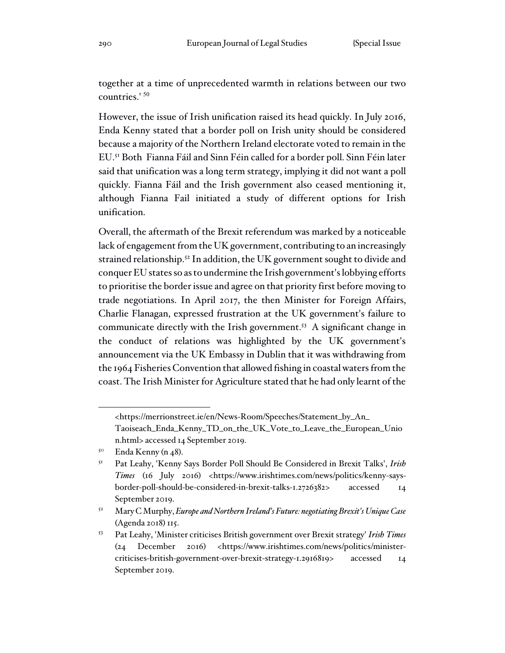together at a time of unprecedented warmth in relations between our two countries.' <sup>50</sup>

However, the issue of Irish unification raised its head quickly. In July 2016, Enda Kenny stated that a border poll on Irish unity should be considered because a majority of the Northern Ireland electorate voted to remain in the EU.<sup>51</sup> Both Fianna Fáil and Sinn Féin called for a border poll. Sinn Féin later said that unification was a long term strategy, implying it did not want a poll quickly. Fianna Fáil and the Irish government also ceased mentioning it, although Fianna Fail initiated a study of different options for Irish unification.

Overall, the aftermath of the Brexit referendum was marked by a noticeable lack of engagement from the UK government, contributing to an increasingly strained relationship.<sup>52</sup> In addition, the UK government sought to divide and conquer EU states so as to undermine the Irish government's lobbying efforts to prioritise the border issue and agree on that priority first before moving to trade negotiations. In April 2017, the then Minister for Foreign Affairs, Charlie Flanagan, expressed frustration at the UK government's failure to communicate directly with the Irish government.<sup>53</sup> A significant change in the conduct of relations was highlighted by the UK government's announcement via the UK Embassy in Dublin that it was withdrawing from the 1964 Fisheries Convention that allowed fishing in coastal waters from the coast. The Irish Minister for Agriculture stated that he had only learnt of the

<sup>&</sup>lt;https://merrionstreet.ie/en/News-Room/Speeches/Statement\_by\_An\_ Taoiseach\_Enda\_Kenny\_TD\_on\_the\_UK\_Vote\_to\_Leave\_the\_European\_Unio n.html> accessed 14 September 2019.

 $5^{\circ}$  Enda Kenny (n 48).

<sup>51</sup> Pat Leahy, 'Kenny Says Border Poll Should Be Considered in Brexit Talks', *Irish Times* (16 July 2016) <https://www.irishtimes.com/news/politics/kenny-saysborder-poll-should-be-considered-in-brexit-talks-1.2726382> accessed 14 September 2019.

<sup>52</sup> Mary C Murphy, *Europe and Northern Ireland's Future: negotiating Brexit's Unique Case* (Agenda 2018) 115.

<sup>53</sup> Pat Leahy, 'Minister criticises British government over Brexit strategy' *Irish Times* (24 December 2016) <https://www.irishtimes.com/news/politics/ministercriticises-british-government-over-brexit-strategy-1.2916819> accessed 14 September 2019.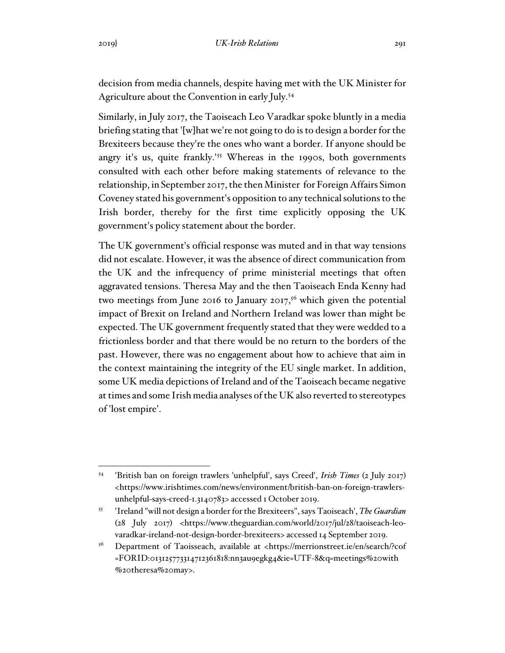decision from media channels, despite having met with the UK Minister for Agriculture about the Convention in early July.<sup>54</sup>

Similarly, in July 2017, the Taoiseach Leo Varadkar spoke bluntly in a media briefing stating that '[w]hat we're not going to do is to design a border for the Brexiteers because they're the ones who want a border. If anyone should be angry it's us, quite frankly.<sup>155</sup> Whereas in the 1990s, both governments consulted with each other before making statements of relevance to the relationship, in September 2017, the then Minister for Foreign Affairs Simon Coveney stated his government's opposition to any technical solutions to the Irish border, thereby for the first time explicitly opposing the UK government's policy statement about the border.

The UK government's official response was muted and in that way tensions did not escalate. However, it was the absence of direct communication from the UK and the infrequency of prime ministerial meetings that often aggravated tensions. Theresa May and the then Taoiseach Enda Kenny had two meetings from June 2016 to January 2017,<sup>56</sup> which given the potential impact of Brexit on Ireland and Northern Ireland was lower than might be expected. The UK government frequently stated that they were wedded to a frictionless border and that there would be no return to the borders of the past. However, there was no engagement about how to achieve that aim in the context maintaining the integrity of the EU single market. In addition, some UK media depictions of Ireland and of the Taoiseach became negative at times and some Irish media analyses of the UK also reverted to stereotypes of 'lost empire'.

<sup>54</sup> 'British ban on foreign trawlers 'unhelpful', says Creed', *Irish Times* (2 July 2017) <https://www.irishtimes.com/news/environment/british-ban-on-foreign-trawlersunhelpful-says-creed-1.3140783> accessed 1 October 2019.

<sup>55</sup> 'Ireland "will not design a border for the Brexiteers", says Taoiseach', *The Guardian* (28 July 2017) <https://www.theguardian.com/world/2017/jul/28/taoiseach-leovaradkar-ireland-not-design-border-brexiteers> accessed 14 September 2019.

<sup>56</sup> Department of Taoisseach, available at <https://merrionstreet.ie/en/search/?cof =FORID:013125773314712361818:nn3au9egkg4&ie=UTF-8&q=meetings%20with %20theresa%20may>.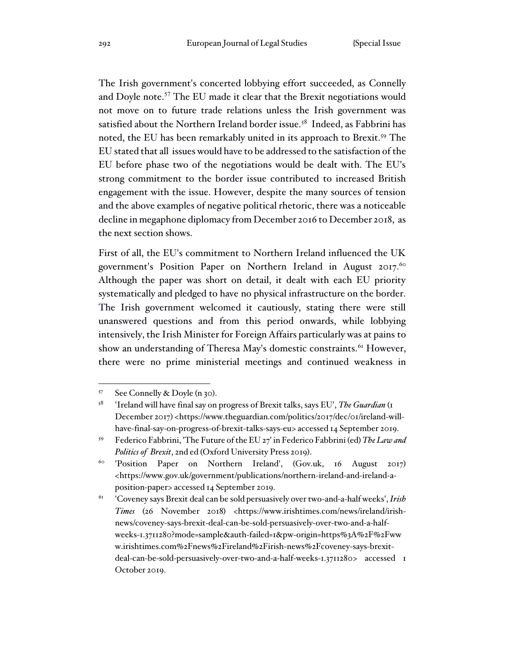The Irish government's concerted lobbying effort succeeded, as Connelly and Doyle note.<sup>57</sup> The EU made it clear that the Brexit negotiations would not move on to future trade relations unless the Irish government was satisfied about the Northern Ireland border issue.<sup>58</sup> Indeed, as Fabbrini has noted, the EU has been remarkably united in its approach to Brexit.<sup>59</sup> The EU stated that all issues would have to be addressed to the satisfaction of the EU before phase two of the negotiations would be dealt with. The EU's strong commitment to the border issue contributed to increased British engagement with the issue. However, despite the many sources of tension and the above examples of negative political rhetoric, there was a noticeable decline in megaphone diplomacy from December 2016 to December 2018, as the next section shows.

First of all, the EU's commitment to Northern Ireland influenced the UK government's Position Paper on Northern Ireland in August 2017.<sup>60</sup> Although the paper was short on detail, it dealt with each EU priority systematically and pledged to have no physical infrastructure on the border. The Irish government welcomed it cautiously, stating there were still unanswered questions and from this period onwards, while lobbying intensively, the Irish Minister for Foreign Affairs particularly was at pains to show an understanding of Theresa May's domestic constraints.<sup>61</sup> However, there were no prime ministerial meetings and continued weakness in

<sup>57</sup> See Connelly & Doyle (n 30).

<sup>58</sup> 'Ireland will have final say on progress of Brexit talks, says EU', *The Guardian* (1 December 2017) <https://www.theguardian.com/politics/2017/dec/01/ireland-willhave-final-say-on-progress-of-brexit-talks-says-eu> accessed 14 September 2019.

<sup>59</sup> Federico Fabbrini, 'The Future of the EU 27' in Federico Fabbrini (ed) *The Law and Politics of Brexit*, 2nd ed (Oxford University Press 2019).

<sup>60</sup> 'Position Paper on Northern Ireland', (Gov.uk, 16 August 2017) <https://www.gov.uk/government/publications/northern-ireland-and-ireland-aposition-paper> accessed 14 September 2019.

<sup>61</sup> 'Coveney says Brexit deal can be sold persuasively over two-and-a-half weeks', *Irish Times* (26 November 2018) <https://www.irishtimes.com/news/ireland/irishnews/coveney-says-brexit-deal-can-be-sold-persuasively-over-two-and-a-halfweeks-1.3711280?mode=sample&auth-failed=1&pw-origin=https%3A%2F%2Fww w.irishtimes.com%2Fnews%2Fireland%2Firish-news%2Fcoveney-says-brexitdeal-can-be-sold-persuasively-over-two-and-a-half-weeks-1.3711280> accessed 1 October 2019.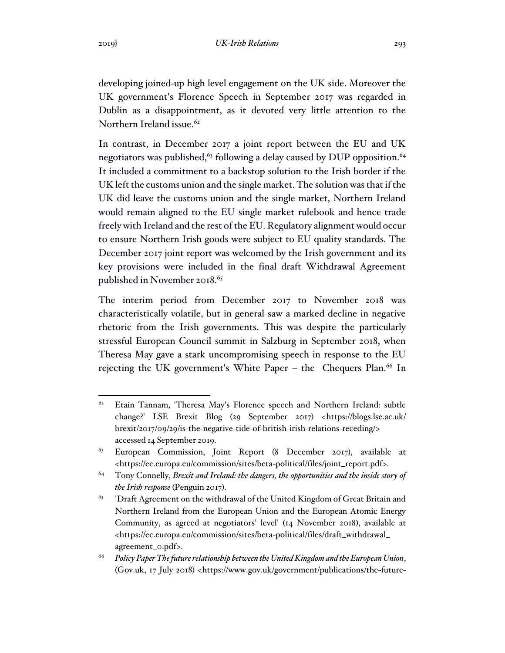developing joined-up high level engagement on the UK side. Moreover the UK government's Florence Speech in September 2017 was regarded in Dublin as a disappointment, as it devoted very little attention to the Northern Ireland issue.<sup>62</sup>

In contrast, in December 2017 a joint report between the EU and UK negotiators was published,<sup>63</sup> following a delay caused by DUP opposition.<sup>64</sup> It included a commitment to a backstop solution to the Irish border if the UK left the customs union and the single market. The solution was that if the UK did leave the customs union and the single market, Northern Ireland would remain aligned to the EU single market rulebook and hence trade freely with Ireland and the rest of the EU. Regulatory alignment would occur to ensure Northern Irish goods were subject to EU quality standards. The December 2017 joint report was welcomed by the Irish government and its key provisions were included in the final draft Withdrawal Agreement published in November 2018.<sup>65</sup>

The interim period from December 2017 to November 2018 was characteristically volatile, but in general saw a marked decline in negative rhetoric from the Irish governments. This was despite the particularly stressful European Council summit in Salzburg in September 2018, when Theresa May gave a stark uncompromising speech in response to the EU rejecting the UK government's White Paper – the Chequers Plan.<sup>66</sup> In

<sup>&</sup>lt;sup>62</sup> Etain Tannam, 'Theresa May's Florence speech and Northern Ireland: subtle change?' LSE Brexit Blog (29 September 2017) <https://blogs.lse.ac.uk/ brexit/2017/09/29/is-the-negative-tide-of-british-irish-relations-receding/> accessed 14 September 2019.

<sup>&</sup>lt;sup>63</sup> European Commission, Joint Report (8 December 2017), available at <https://ec.europa.eu/commission/sites/beta-political/files/joint\_report.pdf>.

<sup>64</sup> Tony Connelly, *Brexit and Ireland: the dangers, the opportunities and the inside story of the Irish response* (Penguin 2017).

<sup>65</sup> 'Draft Agreement on the withdrawal of the United Kingdom of Great Britain and Northern Ireland from the European Union and the European Atomic Energy Community, as agreed at negotiators' level' (14 November 2018), available at <https://ec.europa.eu/commission/sites/beta-political/files/draft\_withdrawal\_ agreement\_0.pdf>.

<sup>66</sup> *Policy Paper The future relationship between the United Kingdom and the European Union*, (Gov.uk, 17 July 2018) <https://www.gov.uk/government/publications/the-future-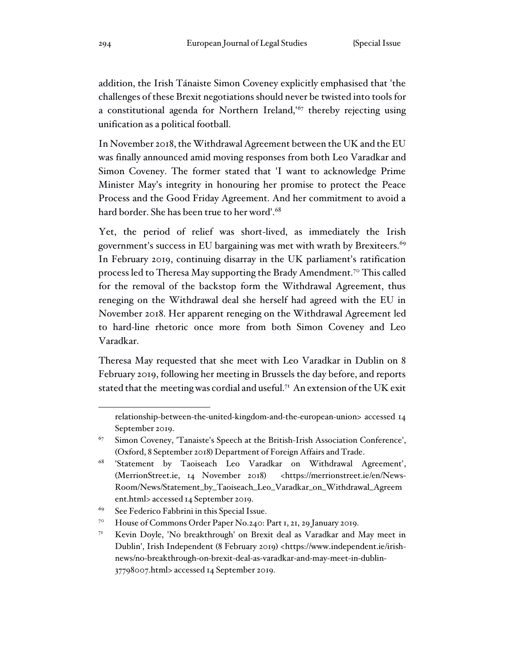addition, the Irish Tánaiste Simon Coveney explicitly emphasised that 'the challenges of these Brexit negotiations should never be twisted into tools for a constitutional agenda for Northern Ireland,'<sup>67</sup> thereby rejecting using unification as a political football.

In November 2018, the Withdrawal Agreement between the UK and the EU was finally announced amid moving responses from both Leo Varadkar and Simon Coveney. The former stated that 'I want to acknowledge Prime Minister May's integrity in honouring her promise to protect the Peace Process and the Good Friday Agreement. And her commitment to avoid a hard border. She has been true to her word'.<sup>68</sup>

Yet, the period of relief was short-lived, as immediately the Irish government's success in EU bargaining was met with wrath by Brexiteers.<sup>69</sup> In February 2019, continuing disarray in the UK parliament's ratification process led to Theresa May supporting the Brady Amendment.<sup>70</sup> This called for the removal of the backstop form the Withdrawal Agreement, thus reneging on the Withdrawal deal she herself had agreed with the EU in November 2018. Her apparent reneging on the Withdrawal Agreement led to hard-line rhetoric once more from both Simon Coveney and Leo Varadkar.

Theresa May requested that she meet with Leo Varadkar in Dublin on 8 February 2019, following her meeting in Brussels the day before, and reports stated that the meeting was cordial and useful.<sup>71</sup> An extension of the UK exit

relationship-between-the-united-kingdom-and-the-european-union> accessed 14 September 2019.

<sup>&</sup>lt;sup>67</sup> Simon Coveney, 'Tanaiste's Speech at the British-Irish Association Conference', (Oxford, 8 September 2018) Department of Foreign Affairs and Trade.

<sup>68</sup> 'Statement by Taoiseach Leo Varadkar on Withdrawal Agreement', (MerrionStreet.ie, 14 November 2018) <https://merrionstreet.ie/en/News-Room/News/Statement\_by\_Taoiseach\_Leo\_Varadkar\_on\_Withdrawal\_Agreem ent.html> accessed 14 September 2019.

<sup>&</sup>lt;sup>69</sup> See Federico Fabbrini in this Special Issue.

<sup>70</sup> House of Commons Order Paper No.240: Part 1, 21, 29 January 2019.

<sup>71</sup> Kevin Doyle, 'No breakthrough' on Brexit deal as Varadkar and May meet in Dublin', Irish Independent (8 February 2019) <https://www.independent.ie/irishnews/no-breakthrough-on-brexit-deal-as-varadkar-and-may-meet-in-dublin-37798007.html> accessed 14 September 2019.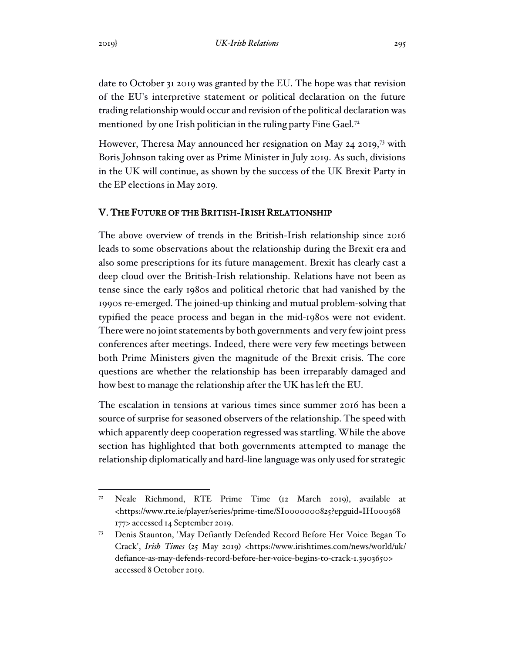date to October 31 2019 was granted by the EU. The hope was that revision of the EU's interpretive statement or political declaration on the future trading relationship would occur and revision of the political declaration was mentioned by one Irish politician in the ruling party Fine Gael.<sup>72</sup>

However, Theresa May announced her resignation on May 24 2019,<sup>73</sup> with Boris Johnson taking over as Prime Minister in July 2019. As such, divisions in the UK will continue, as shown by the success of the UK Brexit Party in the EP elections in May 2019.

#### V. THE FUTURE OF THE BRITISH-IRISH RELATIONSHIP

The above overview of trends in the British-Irish relationship since 2016 leads to some observations about the relationship during the Brexit era and also some prescriptions for its future management. Brexit has clearly cast a deep cloud over the British-Irish relationship. Relations have not been as tense since the early 1980s and political rhetoric that had vanished by the 1990s re-emerged. The joined-up thinking and mutual problem-solving that typified the peace process and began in the mid-1980s were not evident. There were no joint statements by both governments and very few joint press conferences after meetings. Indeed, there were very few meetings between both Prime Ministers given the magnitude of the Brexit crisis. The core questions are whether the relationship has been irreparably damaged and how best to manage the relationship after the UK has left the EU.

The escalation in tensions at various times since summer 2016 has been a source of surprise for seasoned observers of the relationship. The speed with which apparently deep cooperation regressed was startling. While the above section has highlighted that both governments attempted to manage the relationship diplomatically and hard-line language was only used for strategic

<sup>72</sup> Neale Richmond, RTE Prime Time (12 March 2019), available at <https://www.rte.ie/player/series/prime-time/SI0000000825?epguid=IH000368 177> accessed 14 September 2019.

<sup>73</sup> Denis Staunton, 'May Defiantly Defended Record Before Her Voice Began To Crack', *Irish Times* (25 May 2019) <https://www.irishtimes.com/news/world/uk/ defiance-as-may-defends-record-before-her-voice-begins-to-crack-1.3903650> accessed 8 October 2019.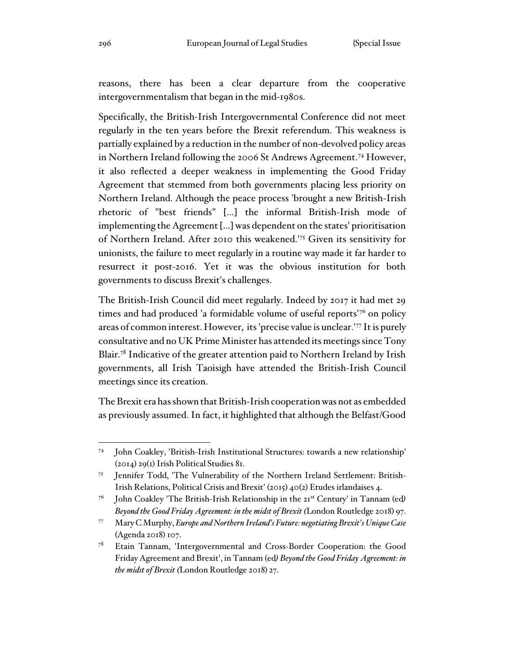reasons, there has been a clear departure from the cooperative intergovernmentalism that began in the mid-1980s.

Specifically, the British-Irish Intergovernmental Conference did not meet regularly in the ten years before the Brexit referendum. This weakness is partially explained by a reduction in the number of non-devolved policy areas in Northern Ireland following the 2006 St Andrews Agreement.<sup>74</sup> However, it also reflected a deeper weakness in implementing the Good Friday Agreement that stemmed from both governments placing less priority on Northern Ireland. Although the peace process 'brought a new British-Irish rhetoric of "best friends" […] the informal British-Irish mode of implementing the Agreement […] was dependent on the states' prioritisation of Northern Ireland. After 2010 this weakened.'<sup>75</sup> Given its sensitivity for unionists, the failure to meet regularly in a routine way made it far harder to resurrect it post-2016. Yet it was the obvious institution for both governments to discuss Brexit's challenges.

The British-Irish Council did meet regularly. Indeed by 2017 it had met 29 times and had produced 'a formidable volume of useful reports'<sup>76</sup> on policy areas of common interest. However, its 'precise value is unclear.'<sup>77</sup> It is purely consultative and no UK Prime Minister has attended its meetings since Tony Blair.<sup>78</sup> Indicative of the greater attention paid to Northern Ireland by Irish governments, all Irish Taoisigh have attended the British-Irish Council meetings since its creation.

The Brexit era has shown that British-Irish cooperation was not as embedded as previously assumed. In fact, it highlighted that although the Belfast/Good

<sup>74</sup> John Coakley, 'British-Irish Institutional Structures: towards a new relationship' (2014) 29(1) Irish Political Studies 81.

<sup>75</sup> Jennifer Todd, 'The Vulnerability of the Northern Ireland Settlement: British-Irish Relations, Political Crisis and Brexit' (2015) 40(2) Etudes irlandaises 4.

<sup>76</sup> John Coakley 'The British-Irish Relationship in the 21st Century' in Tannam (ed*) Beyond the Good Friday Agreement: in the midst of Brexit (*London Routledge 2018) 97.

<sup>77</sup> Mary C Murphy, *Europe and Northern Ireland's Future: negotiating Brexit's Unique Case* (Agenda 2018) 107.

<sup>78</sup> Etain Tannam, 'Intergovernmental and Cross-Border Cooperation: the Good Friday Agreement and Brexit', in Tannam (ed*) Beyond the Good Friday Agreement: in the midst of Brexit (*London Routledge 2018) 27.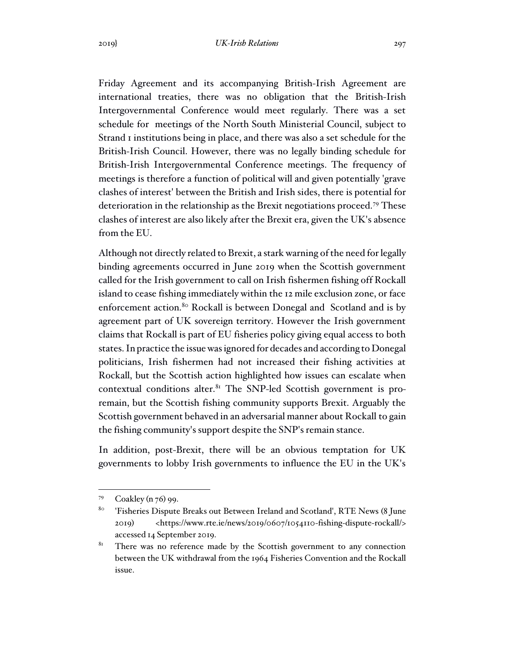Friday Agreement and its accompanying British-Irish Agreement are international treaties, there was no obligation that the British-Irish Intergovernmental Conference would meet regularly. There was a set schedule for meetings of the North South Ministerial Council, subject to Strand 1 institutions being in place, and there was also a set schedule for the British-Irish Council. However, there was no legally binding schedule for British-Irish Intergovernmental Conference meetings. The frequency of meetings is therefore a function of political will and given potentially 'grave clashes of interest' between the British and Irish sides, there is potential for deterioration in the relationship as the Brexit negotiations proceed.<sup>79</sup> These clashes of interest are also likely after the Brexit era, given the UK's absence from the EU.

Although not directly related to Brexit, a stark warning of the need for legally binding agreements occurred in June 2019 when the Scottish government called for the Irish government to call on Irish fishermen fishing off Rockall island to cease fishing immediately within the 12 mile exclusion zone, or face enforcement action.<sup>80</sup> Rockall is between Donegal and Scotland and is by agreement part of UK sovereign territory. However the Irish government claims that Rockall is part of EU fisheries policy giving equal access to both states. In practice the issue was ignored for decades and according to Donegal politicians, Irish fishermen had not increased their fishing activities at Rockall, but the Scottish action highlighted how issues can escalate when contextual conditions alter. $81$ <sup>The SNP-led Scottish government is pro-</sup> remain, but the Scottish fishing community supports Brexit. Arguably the Scottish government behaved in an adversarial manner about Rockall to gain the fishing community's support despite the SNP's remain stance.

In addition, post-Brexit, there will be an obvious temptation for UK governments to lobby Irish governments to influence the EU in the UK's

<sup>79</sup> Coakley (n 76) 99.

<sup>80</sup> 'Fisheries Dispute Breaks out Between Ireland and Scotland', RTE News (8 June 2019) <https://www.rte.ie/news/2019/0607/1054110-fishing-dispute-rockall/> accessed 14 September 2019.

 $81$  There was no reference made by the Scottish government to any connection between the UK withdrawal from the 1964 Fisheries Convention and the Rockall issue.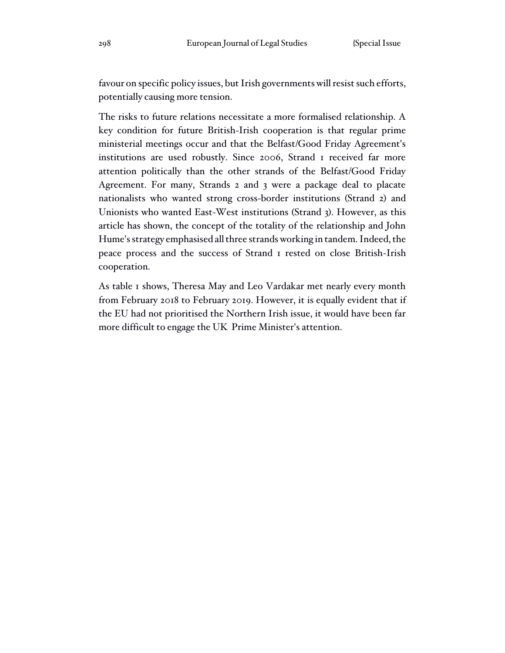favour on specific policy issues, but Irish governments will resist such efforts, potentially causing more tension.

The risks to future relations necessitate a more formalised relationship. A key condition for future British-Irish cooperation is that regular prime ministerial meetings occur and that the Belfast/Good Friday Agreement's institutions are used robustly. Since 2006, Strand 1 received far more attention politically than the other strands of the Belfast/Good Friday Agreement. For many, Strands 2 and 3 were a package deal to placate nationalists who wanted strong cross-border institutions (Strand 2) and Unionists who wanted East-West institutions (Strand 3). However, as this article has shown, the concept of the totality of the relationship and John Hume's strategy emphasised all three strands working in tandem. Indeed, the peace process and the success of Strand 1 rested on close British-Irish cooperation.

As table 1 shows, Theresa May and Leo Vardakar met nearly every month from February 2018 to February 2019. However, it is equally evident that if the EU had not prioritised the Northern Irish issue, it would have been far more difficult to engage the UK Prime Minister's attention.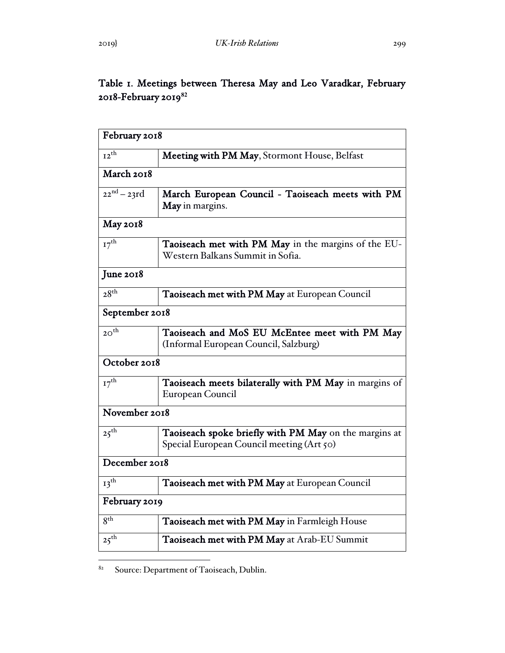# Table 1. Meetings between Theresa May and Leo Varadkar, February 2018-February 2019**<sup>82</sup>**

| February 2018    |                                                                                                    |  |
|------------------|----------------------------------------------------------------------------------------------------|--|
| $I2^{th}$        | Meeting with PM May, Stormont House, Belfast                                                       |  |
| March 2018       |                                                                                                    |  |
| $22^{nd} - 23rd$ | March European Council - Taoiseach meets with PM<br>May in margins.                                |  |
| May 2018         |                                                                                                    |  |
| $I7^{th}$        | Taoiseach met with PM May in the margins of the EU-<br>Western Balkans Summit in Sofia.            |  |
| June 2018        |                                                                                                    |  |
| 28 <sup>th</sup> | Taoiseach met with PM May at European Council                                                      |  |
| September 2018   |                                                                                                    |  |
| $20^{th}$        | Taoiseach and MoS EU McEntee meet with PM May<br>(Informal European Council, Salzburg)             |  |
| October 2018     |                                                                                                    |  |
| $I7^{th}$        | Taoiseach meets bilaterally with PM May in margins of<br>European Council                          |  |
| November 2018    |                                                                                                    |  |
| $25^{\text{th}}$ | Taoiseach spoke briefly with PM May on the margins at<br>Special European Council meeting (Art 50) |  |
| December 2018    |                                                                                                    |  |
| $I3^{th}$        | Taoiseach met with PM May at European Council                                                      |  |
| February 2019    |                                                                                                    |  |
| 8 <sup>th</sup>  | Taoiseach met with PM May in Farmleigh House                                                       |  |
| $25^{\text{th}}$ | Taoiseach met with PM May at Arab-EU Summit                                                        |  |

 $82$  Source: Department of Taoiseach, Dublin.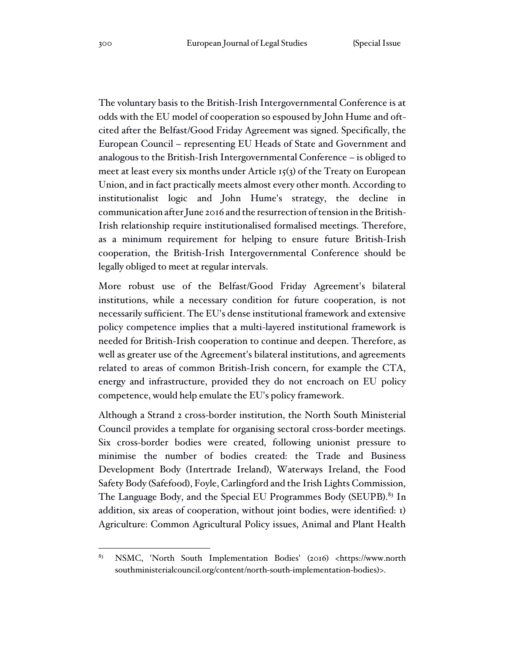The voluntary basis to the British-Irish Intergovernmental Conference is at odds with the EU model of cooperation so espoused by John Hume and oftcited after the Belfast/Good Friday Agreement was signed. Specifically, the European Council – representing EU Heads of State and Government and analogous to the British-Irish Intergovernmental Conference – is obliged to meet at least every six months under Article 15(3) of the Treaty on European Union, and in fact practically meets almost every other month. According to institutionalist logic and John Hume's strategy, the decline in communication after June 2016 and the resurrection of tension in the British-Irish relationship require institutionalised formalised meetings. Therefore, as a minimum requirement for helping to ensure future British-Irish cooperation, the British-Irish Intergovernmental Conference should be legally obliged to meet at regular intervals.

More robust use of the Belfast/Good Friday Agreement's bilateral institutions, while a necessary condition for future cooperation, is not necessarily sufficient. The EU's dense institutional framework and extensive policy competence implies that a multi-layered institutional framework is needed for British-Irish cooperation to continue and deepen. Therefore, as well as greater use of the Agreement's bilateral institutions, and agreements related to areas of common British-Irish concern, for example the CTA, energy and infrastructure, provided they do not encroach on EU policy competence, would help emulate the EU's policy framework.

Although a Strand 2 cross-border institution, the North South Ministerial Council provides a template for organising sectoral cross-border meetings. Six cross-border bodies were created, following unionist pressure to minimise the number of bodies created: the Trade and Business Development Body (Intertrade Ireland), Waterways Ireland, the Food Safety Body (Safefood), Foyle, Carlingford and the Irish Lights Commission, The Language Body, and the Special EU Programmes Body (SEUPB).<sup>83</sup> In addition, six areas of cooperation, without joint bodies, were identified: 1) Agriculture: Common Agricultural Policy issues, Animal and Plant Health

<sup>83</sup> NSMC, 'North South Implementation Bodies' (2016) <https://www.north southministerialcouncil.org/content/north-south-implementation-bodies)>.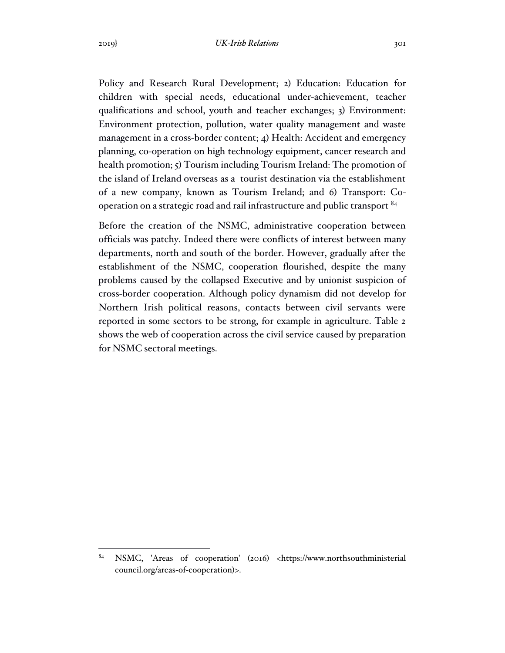Policy and Research Rural Development; 2) Education: Education for children with special needs, educational under-achievement, teacher qualifications and school, youth and teacher exchanges; 3) Environment: Environment protection, pollution, water quality management and waste management in a cross-border content; 4) Health: Accident and emergency planning, co-operation on high technology equipment, cancer research and health promotion; 5) Tourism including Tourism Ireland: The promotion of the island of Ireland overseas as a tourist destination via the establishment of a new company, known as Tourism Ireland; and 6) Transport: Cooperation on a strategic road and rail infrastructure and public transport <sup>84</sup>

Before the creation of the NSMC, administrative cooperation between officials was patchy. Indeed there were conflicts of interest between many departments, north and south of the border. However, gradually after the establishment of the NSMC, cooperation flourished, despite the many problems caused by the collapsed Executive and by unionist suspicion of cross-border cooperation. Although policy dynamism did not develop for Northern Irish political reasons, contacts between civil servants were reported in some sectors to be strong, for example in agriculture. Table 2 shows the web of cooperation across the civil service caused by preparation for NSMC sectoral meetings.

<sup>84</sup> NSMC, 'Areas of cooperation' (2016) <https://www.northsouthministerial council.org/areas-of-cooperation)>.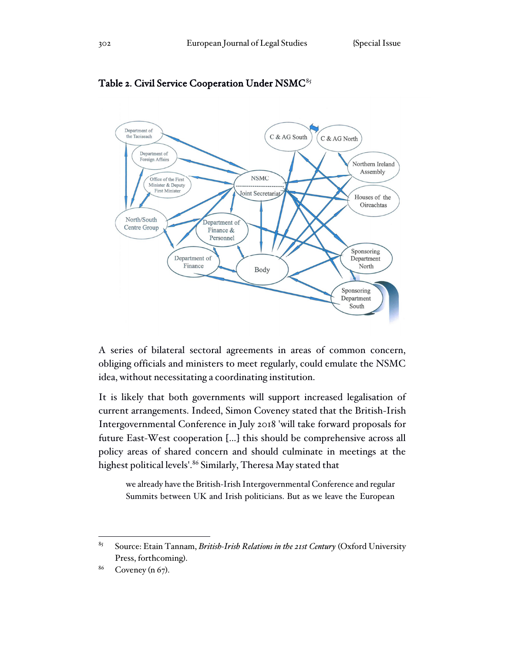



A series of bilateral sectoral agreements in areas of common concern, obliging officials and ministers to meet regularly, could emulate the NSMC idea, without necessitating a coordinating institution.

It is likely that both governments will support increased legalisation of current arrangements. Indeed, Simon Coveney stated that the British-Irish Intergovernmental Conference in July 2018 'will take forward proposals for future East-West cooperation […] this should be comprehensive across all policy areas of shared concern and should culminate in meetings at the highest political levels'.<sup>86</sup> Similarly, Theresa May stated that

we already have the British-Irish Intergovernmental Conference and regular Summits between UK and Irish politicians. But as we leave the European

<sup>85</sup> Source: Etain Tannam, *British-Irish Relations in the 21st Century* (Oxford University Press, forthcoming).

 $86$  Coveney (n 67).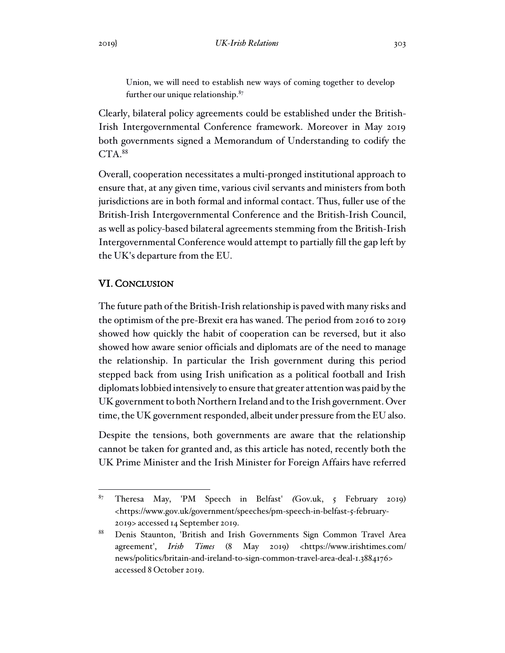Union, we will need to establish new ways of coming together to develop further our unique relationship.<sup>87</sup>

Clearly, bilateral policy agreements could be established under the British-Irish Intergovernmental Conference framework. Moreover in May 2019 both governments signed a Memorandum of Understanding to codify the  $CTA.$ <sup>88</sup>

Overall, cooperation necessitates a multi-pronged institutional approach to ensure that, at any given time, various civil servants and ministers from both jurisdictions are in both formal and informal contact. Thus, fuller use of the British-Irish Intergovernmental Conference and the British-Irish Council, as well as policy-based bilateral agreements stemming from the British-Irish Intergovernmental Conference would attempt to partially fill the gap left by the UK's departure from the EU.

# VI. CONCLUSION

The future path of the British-Irish relationship is paved with many risks and the optimism of the pre-Brexit era has waned. The period from 2016 to 2019 showed how quickly the habit of cooperation can be reversed, but it also showed how aware senior officials and diplomats are of the need to manage the relationship. In particular the Irish government during this period stepped back from using Irish unification as a political football and Irish diplomats lobbied intensively to ensure that greater attention was paid by the UK government to both Northern Ireland and to the Irish government. Over time, the UK government responded, albeit under pressure from the EU also.

Despite the tensions, both governments are aware that the relationship cannot be taken for granted and, as this article has noted, recently both the UK Prime Minister and the Irish Minister for Foreign Affairs have referred

<sup>87</sup> Theresa May, 'PM Speech in Belfast' *(*Gov.uk, 5 February 2019) <https://www.gov.uk/government/speeches/pm-speech-in-belfast-5-february-2019> accessed 14 September 2019.

<sup>88</sup> Denis Staunton, 'British and Irish Governments Sign Common Travel Area agreement', *Irish Times* (8 May 2019) <https://www.irishtimes.com/ news/politics/britain-and-ireland-to-sign-common-travel-area-deal-1.3884176> accessed 8 October 2019.